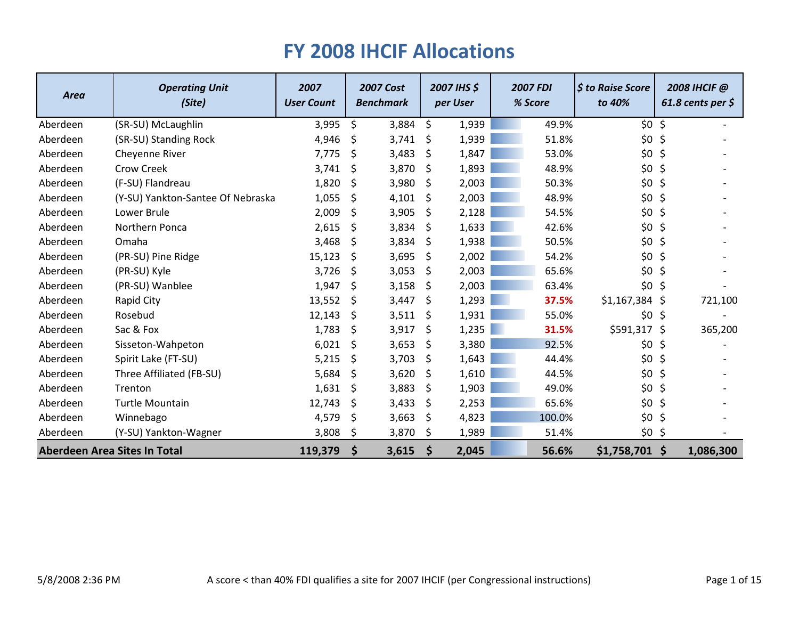| <b>Area</b>                  | <b>Operating Unit</b><br>(Site)   | 2007<br><b>User Count</b> | <b>2007 Cost</b><br><b>Benchmark</b> |          | 2007 IHS \$<br>per User | <b>2007 FDI</b><br>% Score | <b>\$ to Raise Score</b><br>to 40% |         | 2008 IHCIF @<br>61.8 cents per $\zeta$ |
|------------------------------|-----------------------------------|---------------------------|--------------------------------------|----------|-------------------------|----------------------------|------------------------------------|---------|----------------------------------------|
| Aberdeen                     | (SR-SU) McLaughlin                | 3,995                     | \$<br>3,884                          | \$       | 1,939                   | 49.9%                      | \$0                                | $\zeta$ |                                        |
| Aberdeen                     | (SR-SU) Standing Rock             | 4,946                     | \$<br>3,741                          | \$       | 1,939                   | 51.8%                      | \$0\$                              | $\zeta$ |                                        |
| Aberdeen                     | Cheyenne River                    | 7,775                     | \$<br>3,483                          | \$       | 1,847                   | 53.0%                      | \$0                                | \$      |                                        |
| Aberdeen                     | <b>Crow Creek</b>                 | 3,741                     | \$<br>3,870                          | \$       | 1,893                   | 48.9%                      | \$0                                | \$      |                                        |
| Aberdeen                     | (F-SU) Flandreau                  | 1,820                     | \$<br>3,980                          | \$       | 2,003                   | 50.3%                      | \$0                                | \$      |                                        |
| Aberdeen                     | (Y-SU) Yankton-Santee Of Nebraska | 1,055                     | \$<br>4,101                          | \$       | 2,003                   | 48.9%                      | \$0                                | \$      |                                        |
| Aberdeen                     | Lower Brule                       | 2,009                     | \$<br>3,905                          | \$       | 2,128                   | 54.5%                      | \$0                                | $\zeta$ |                                        |
| Aberdeen                     | Northern Ponca                    | 2,615                     | \$<br>3,834                          | \$       | 1,633                   | 42.6%                      | \$0                                | \$      |                                        |
| Aberdeen                     | Omaha                             | 3,468                     | \$<br>3,834                          | \$.      | 1,938                   | 50.5%                      | \$0                                | \$      |                                        |
| Aberdeen                     | (PR-SU) Pine Ridge                | 15,123                    | \$<br>3,695                          | \$       | 2,002                   | 54.2%                      | \$0                                | \$      |                                        |
| Aberdeen                     | (PR-SU) Kyle                      | 3,726                     | \$<br>3,053                          | \$       | 2,003                   | 65.6%                      | \$0                                | \$      |                                        |
| Aberdeen                     | (PR-SU) Wanblee                   | 1,947                     | \$<br>3,158                          | \$       | 2,003                   | 63.4%                      | \$0                                | \$      |                                        |
| Aberdeen                     | Rapid City                        | 13,552                    | \$<br>3,447                          | \$       | 1,293                   | 37.5%                      | \$1,167,384                        | \$      | 721,100                                |
| Aberdeen                     | Rosebud                           | 12,143                    | \$<br>3,511                          | Ŝ        | 1,931                   | 55.0%                      | \$0                                | \$      |                                        |
| Aberdeen                     | Sac & Fox                         | 1,783                     | \$<br>3,917                          | \$       | 1,235                   | 31.5%                      | \$591,317                          | \$      | 365,200                                |
| Aberdeen                     | Sisseton-Wahpeton                 | 6,021                     | \$<br>3,653                          | \$.      | 3,380                   | 92.5%                      | \$0                                | \$      |                                        |
| Aberdeen                     | Spirit Lake (FT-SU)               | 5,215                     | \$<br>3,703                          | \$       | 1,643                   | 44.4%                      | \$0                                | \$      |                                        |
| Aberdeen                     | Three Affiliated (FB-SU)          | 5,684                     | \$<br>3,620                          | \$       | 1,610                   | 44.5%                      | \$0                                | \$      |                                        |
| Aberdeen                     | Trenton                           | 1,631                     | \$<br>3,883                          | \$.      | 1,903                   | 49.0%                      | \$0                                | \$      |                                        |
| Aberdeen                     | <b>Turtle Mountain</b>            | 12,743                    | \$<br>3,433                          | \$       | 2,253                   | 65.6%                      | \$0                                | $\zeta$ |                                        |
| Aberdeen                     | Winnebago                         | 4,579                     | \$<br>3,663                          | -\$      | 4,823                   | 100.0%                     | \$0\$                              | $\zeta$ |                                        |
| Aberdeen                     | (Y-SU) Yankton-Wagner             | 3,808                     | \$<br>3,870                          | -\$      | 1,989                   | 51.4%                      | \$0                                | \$      |                                        |
| Aberdeen Area Sites In Total |                                   | 119,379                   | \$<br>3,615                          | <b>S</b> | 2,045                   | 56.6%                      | $$1,758,701$ \$                    |         | 1,086,300                              |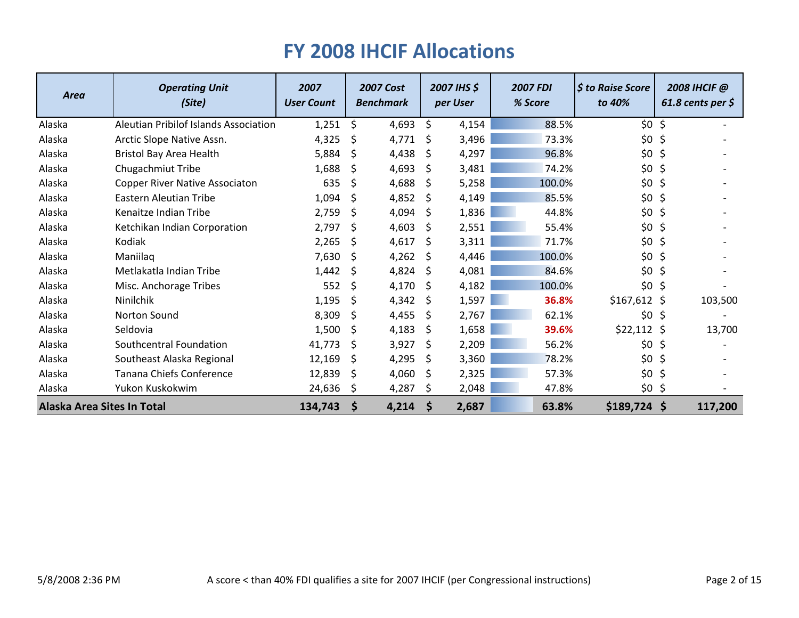| <b>Area</b>                | <b>Operating Unit</b><br>(Site)       | 2007<br><b>User Count</b> |              | <b>2007 Cost</b><br><b>Benchmark</b> |              | 2007 IHS \$<br>per User | <b>2007 FDI</b><br>% Score | <b>S</b> to Raise Score<br>to 40% |         | 2008 IHCIF @<br>61.8 cents per $\zeta$ |
|----------------------------|---------------------------------------|---------------------------|--------------|--------------------------------------|--------------|-------------------------|----------------------------|-----------------------------------|---------|----------------------------------------|
| Alaska                     | Aleutian Pribilof Islands Association | 1,251                     | \$           | 4,693                                | \$           | 4,154                   | 88.5%                      | \$0                               | $\zeta$ |                                        |
| Alaska                     | Arctic Slope Native Assn.             | 4,325                     | \$           | 4,771                                | \$           | 3,496                   | 73.3%                      | \$0\$                             | \$      |                                        |
| Alaska                     | Bristol Bay Area Health               | 5,884                     | -S           | 4,438                                | -S           | 4,297                   | 96.8%                      | \$0                               | \$      |                                        |
| Alaska                     | Chugachmiut Tribe                     | 1,688                     | <sup>S</sup> | 4,693                                | <sup>S</sup> | 3,481                   | 74.2%                      | \$0                               | \$      |                                        |
| Alaska                     | <b>Copper River Native Associaton</b> | 635                       | \$           | 4,688                                | <sub>S</sub> | 5,258                   | 100.0%                     | \$0\$                             | \$      |                                        |
| Alaska                     | Eastern Aleutian Tribe                | 1,094                     | <sub>S</sub> | 4,852                                | <sub>S</sub> | 4,149                   | 85.5%                      | \$0                               | \$      |                                        |
| Alaska                     | Kenaitze Indian Tribe                 | 2,759                     | \$           | 4,094                                | Ŝ.           | 1,836                   | 44.8%                      | \$0                               | \$      |                                        |
| Alaska                     | Ketchikan Indian Corporation          | 2,797                     | -S           | 4,603                                | <sub>S</sub> | 2,551                   | 55.4%                      | \$0                               | \$      |                                        |
| Alaska                     | Kodiak                                | 2,265                     | S.           | 4,617                                | Ŝ            | 3,311                   | 71.7%                      | \$0                               | \$      |                                        |
| Alaska                     | Maniilag                              | 7,630                     | -Ś           | 4,262                                | <sub>S</sub> | 4,446                   | 100.0%                     | \$0                               | \$      |                                        |
| Alaska                     | Metlakatla Indian Tribe               | 1,442                     | S.           | 4,824                                | <sub>S</sub> | 4,081                   | 84.6%                      | \$0                               | \$      |                                        |
| Alaska                     | Misc. Anchorage Tribes                | 552                       | \$           | 4,170                                | Ŝ.           | 4,182                   | 100.0%                     | \$0                               | \$      |                                        |
| Alaska                     | Ninilchik                             | 1,195                     | -Ś           | 4,342                                | -S           | 1,597                   | 36.8%                      | $$167,612$ \$                     |         | 103,500                                |
| Alaska                     | <b>Norton Sound</b>                   | 8,309                     | <sub>S</sub> | 4,455                                | <sub>S</sub> | 2,767                   | 62.1%                      | \$0                               | \$      |                                        |
| Alaska                     | Seldovia                              | 1,500                     | -Ś           | 4,183                                | Ŝ.           | 1,658                   | 39.6%                      | $$22,112$ \$                      |         | 13,700                                 |
| Alaska                     | Southcentral Foundation               | 41,773                    | <sup>S</sup> | 3,927                                | Ŝ            | 2,209                   | 56.2%                      | \$0                               | \$      |                                        |
| Alaska                     | Southeast Alaska Regional             | 12,169                    | \$           | 4,295                                | Ŝ            | 3,360                   | 78.2%                      | \$0\$                             | \$      |                                        |
| Alaska                     | Tanana Chiefs Conference              | 12,839                    | -S           | 4,060                                | Ŝ.           | 2,325                   | 57.3%                      | \$0                               | \$      |                                        |
| Alaska                     | Yukon Kuskokwim                       | 24,636                    | -\$          | 4,287                                | Ş            | 2,048                   | 47.8%                      | \$0                               | \$      |                                        |
| Alaska Area Sites In Total |                                       | 134,743                   | S            | 4,214                                | <b>S</b>     | 2,687                   | 63.8%                      | $$189,724$ \$                     |         | 117,200                                |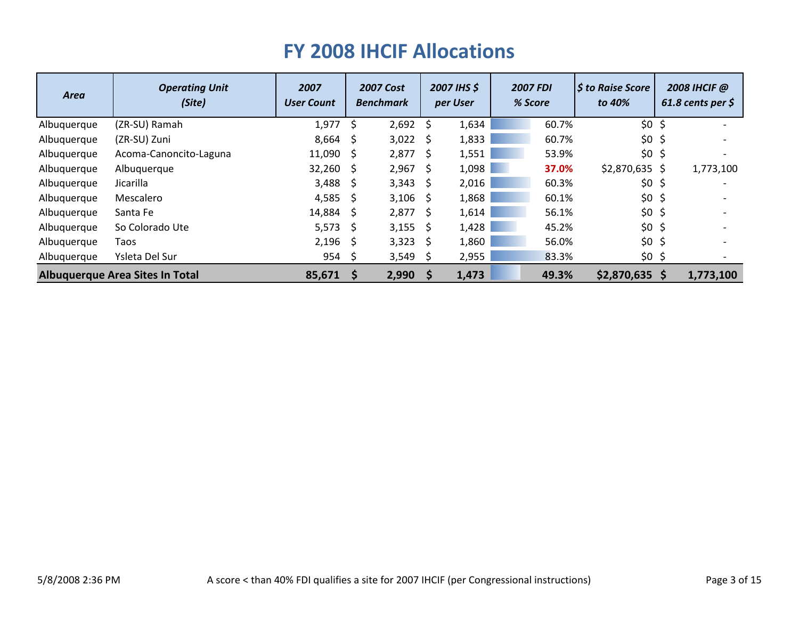| <b>Area</b> | <b>Operating Unit</b><br>(Site)        | 2007<br><b>User Count</b> |                     | <b>2007 Cost</b><br><b>Benchmark</b> |          | 2007 IHS \$<br>per User |  | <b>2007 FDI</b><br>% Score | <b>S</b> to Raise Score<br>to 40% | 2008 IHCIF @<br>61.8 cents per $\zeta$ |
|-------------|----------------------------------------|---------------------------|---------------------|--------------------------------------|----------|-------------------------|--|----------------------------|-----------------------------------|----------------------------------------|
| Albuquerque | (ZR-SU) Ramah                          | 1,977                     | S.                  | 2,692                                | -\$      | 1,634                   |  | 60.7%                      | $$0$ \$                           |                                        |
| Albuquerque | (ZR-SU) Zuni                           | $8,664$ \$                |                     | $3,022$ \$                           |          | 1,833                   |  | 60.7%                      | $$0$ \$                           |                                        |
| Albuquerque | Acoma-Canoncito-Laguna                 | 11,090                    | - \$                | 2,877                                | -\$      | 1,551                   |  | 53.9%                      | $$0$ \$                           |                                        |
| Albuquerque | Albuquerque                            | 32,260                    | - S                 | 2,967                                | - S      | 1,098                   |  | 37.0%                      | $$2,870,635$ \$                   | 1,773,100                              |
| Albuquerque | Jicarilla                              | $3,488$ \$                |                     | 3,343                                | - S      | 2,016                   |  | 60.3%                      | $$0$ \$                           |                                        |
| Albuquerque | Mescalero                              | 4,585                     | - S                 | 3,106                                | - \$     | 1,868                   |  | 60.1%                      | $$0$ \$                           |                                        |
| Albuquerque | Santa Fe                               | 14,884                    | $\ddot{\mathsf{s}}$ | 2,877                                | - S      | 1,614                   |  | 56.1%                      | $$0$ \$                           |                                        |
| Albuquerque | So Colorado Ute                        | 5,573                     | - S                 | 3,155                                | - \$     | 1,428                   |  | 45.2%                      | $$0$ \$                           |                                        |
| Albuquerque | Taos                                   | 2,196                     | - \$                | 3,323                                | - S      | 1,860                   |  | 56.0%                      | $$0$ \$                           |                                        |
| Albuquerque | Ysleta Del Sur                         | 954                       | - \$                | 3,549                                | -S       | 2,955                   |  | 83.3%                      | $$0$ \$                           |                                        |
|             | <b>Albuquerque Area Sites In Total</b> | 85,671                    | - S                 | 2,990                                | <b>S</b> | 1,473                   |  | 49.3%                      | $$2,870,635$ \$                   | 1,773,100                              |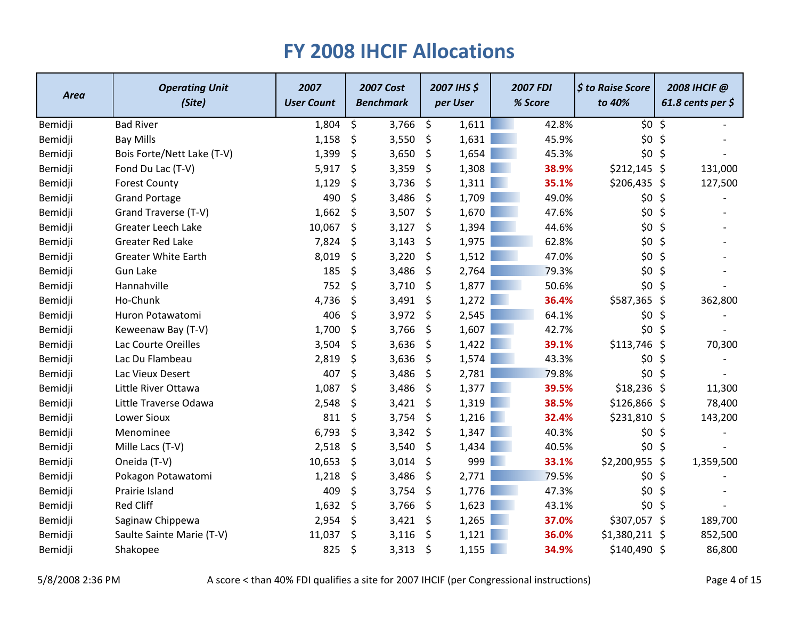| <b>Area</b> | <b>Operating Unit</b><br>(Site) | 2007<br><b>User Count</b> | <b>2007 Cost</b><br><b>Benchmark</b> |       | 2007 IHS \$<br>per User |       | <b>2007 FDI</b><br>% Score |       | \$ to Raise Score<br>to 40% | 2008 IHCIF @<br>61.8 cents per $\zeta$ |           |
|-------------|---------------------------------|---------------------------|--------------------------------------|-------|-------------------------|-------|----------------------------|-------|-----------------------------|----------------------------------------|-----------|
| Bemidji     | <b>Bad River</b>                | 1,804                     | \$                                   | 3,766 | \$                      | 1,611 |                            | 42.8% | \$0 <sub>5</sub>            |                                        |           |
| Bemidji     | <b>Bay Mills</b>                | 1,158                     | \$                                   | 3,550 | \$                      | 1,631 |                            | 45.9% | \$0\$                       | $\zeta$                                |           |
| Bemidji     | Bois Forte/Nett Lake (T-V)      | 1,399                     | \$                                   | 3,650 | \$                      | 1,654 |                            | 45.3% | \$0 <sub>5</sub>            |                                        |           |
| Bemidji     | Fond Du Lac (T-V)               | 5,917                     | \$                                   | 3,359 | \$                      | 1,308 |                            | 38.9% | $$212,145$ \$               |                                        | 131,000   |
| Bemidji     | <b>Forest County</b>            | 1,129                     | \$                                   | 3,736 | \$                      | 1,311 |                            | 35.1% | $$206,435$ \$               |                                        | 127,500   |
| Bemidji     | <b>Grand Portage</b>            | 490                       | \$                                   | 3,486 | \$                      | 1,709 |                            | 49.0% | \$0\$                       | $\zeta$                                |           |
| Bemidji     | Grand Traverse (T-V)            | 1,662                     | \$                                   | 3,507 | \$                      | 1,670 |                            | 47.6% | \$0\$                       | \$                                     |           |
| Bemidji     | Greater Leech Lake              | 10,067                    | \$                                   | 3,127 | \$                      | 1,394 |                            | 44.6% | $$0$ \$                     |                                        |           |
| Bemidji     | <b>Greater Red Lake</b>         | 7,824                     | \$                                   | 3,143 | \$                      | 1,975 |                            | 62.8% | $$0$ \$                     |                                        |           |
| Bemidji     | <b>Greater White Earth</b>      | 8,019                     | \$                                   | 3,220 | \$                      | 1,512 |                            | 47.0% | \$0\$                       | $\zeta$                                |           |
| Bemidji     | <b>Gun Lake</b>                 | 185                       | \$                                   | 3,486 | \$                      | 2,764 |                            | 79.3% | \$0\$                       | \$                                     |           |
| Bemidji     | Hannahville                     | 752                       | \$                                   | 3,710 | \$                      | 1,877 |                            | 50.6% | \$0 <sub>5</sub>            |                                        |           |
| Bemidji     | Ho-Chunk                        | 4,736                     | \$                                   | 3,491 | \$                      | 1,272 |                            | 36.4% | \$587,365 \$                |                                        | 362,800   |
| Bemidji     | Huron Potawatomi                | 406                       | \$                                   | 3,972 | \$                      | 2,545 |                            | 64.1% | \$0 <sub>5</sub>            |                                        |           |
| Bemidji     | Keweenaw Bay (T-V)              | 1,700                     | \$                                   | 3,766 | \$                      | 1,607 |                            | 42.7% | \$0 <sub>5</sub>            |                                        |           |
| Bemidji     | Lac Courte Oreilles             | 3,504                     | \$                                   | 3,636 | \$                      | 1,422 |                            | 39.1% | $$113,746$ \$               |                                        | 70,300    |
| Bemidji     | Lac Du Flambeau                 | 2,819                     | \$                                   | 3,636 | \$                      | 1,574 |                            | 43.3% | \$0 <sub>5</sub>            |                                        |           |
| Bemidji     | Lac Vieux Desert                | 407                       | \$                                   | 3,486 | \$                      | 2,781 |                            | 79.8% | \$0\$                       | \$                                     |           |
| Bemidji     | Little River Ottawa             | 1,087                     | \$                                   | 3,486 | \$                      | 1,377 |                            | 39.5% | \$18,236\$                  |                                        | 11,300    |
| Bemidji     | Little Traverse Odawa           | 2,548                     | \$                                   | 3,421 | \$                      | 1,319 |                            | 38.5% | $$126,866$ \$               |                                        | 78,400    |
| Bemidji     | <b>Lower Sioux</b>              | 811                       | \$                                   | 3,754 | \$                      | 1,216 |                            | 32.4% | $$231,810$ \$               |                                        | 143,200   |
| Bemidji     | Menominee                       | 6,793                     | \$                                   | 3,342 | \$                      | 1,347 |                            | 40.3% | $$0$ \$                     |                                        |           |
| Bemidji     | Mille Lacs (T-V)                | 2,518                     | \$                                   | 3,540 | \$                      | 1,434 |                            | 40.5% | $$0$ \$                     |                                        |           |
| Bemidji     | Oneida (T-V)                    | 10,653                    | \$                                   | 3,014 | \$                      | 999   |                            | 33.1% | \$2,200,955                 | \$                                     | 1,359,500 |
| Bemidji     | Pokagon Potawatomi              | 1,218                     | \$                                   | 3,486 | \$                      | 2,771 |                            | 79.5% | \$0 <sub>5</sub>            |                                        |           |
| Bemidji     | Prairie Island                  | 409                       | \$                                   | 3,754 | \$                      | 1,776 |                            | 47.3% | \$0\$                       | $\zeta$                                |           |
| Bemidji     | <b>Red Cliff</b>                | 1,632                     | \$                                   | 3,766 | \$                      | 1,623 |                            | 43.1% | \$0 <sub>5</sub>            |                                        |           |
| Bemidji     | Saginaw Chippewa                | 2,954                     | \$                                   | 3,421 | \$                      | 1,265 |                            | 37.0% | \$307,057 \$                |                                        | 189,700   |
| Bemidji     | Saulte Sainte Marie (T-V)       | 11,037                    | \$                                   | 3,116 | \$                      | 1,121 |                            | 36.0% | $$1,380,211$ \$             |                                        | 852,500   |
| Bemidji     | Shakopee                        | 825                       | \$                                   | 3,313 | \$                      | 1,155 |                            | 34.9% | $$140,490$ \$               |                                        | 86,800    |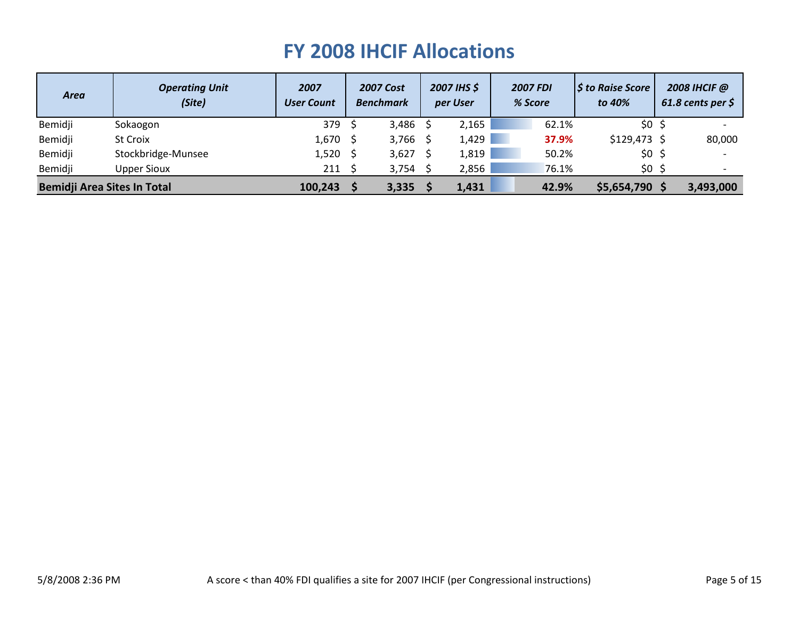| <b>Area</b>                        | <b>Operating Unit</b><br>(Site) | 2007<br><b>User Count</b> | <b>2007 Cost</b><br><b>Benchmark</b> | 2007 IHS \$<br>per User | <b>2007 FDI</b><br>% Score | $\vert$ \$ to Raise Score<br>to 40% | 2008 IHCIF @<br>61.8 cents per $\zeta$ |
|------------------------------------|---------------------------------|---------------------------|--------------------------------------|-------------------------|----------------------------|-------------------------------------|----------------------------------------|
| Bemidji                            | Sokaogon                        | 379                       | 3,486                                | 2,165                   | 62.1%                      | \$0 <sub>5</sub>                    |                                        |
| Bemidji                            | St Croix                        | $1,670$ \$                | 3,766 \$                             | 1,429                   | 37.9%                      | $$129,473$ \$                       | 80,000                                 |
| Bemidji                            | Stockbridge-Munsee              | 1,520                     | 3,627                                | 1,819                   | 50.2%                      | \$0 <sub>5</sub>                    |                                        |
| Bemidji                            | <b>Upper Sioux</b>              | 211                       | 3,754 \$                             | 2,856                   | 76.1%                      | \$0 <sub>5</sub>                    |                                        |
| <b>Bemidji Area Sites In Total</b> |                                 | 100,243                   | 3,335                                | 1,431                   | 42.9%                      | \$5,654,790                         | 3,493,000                              |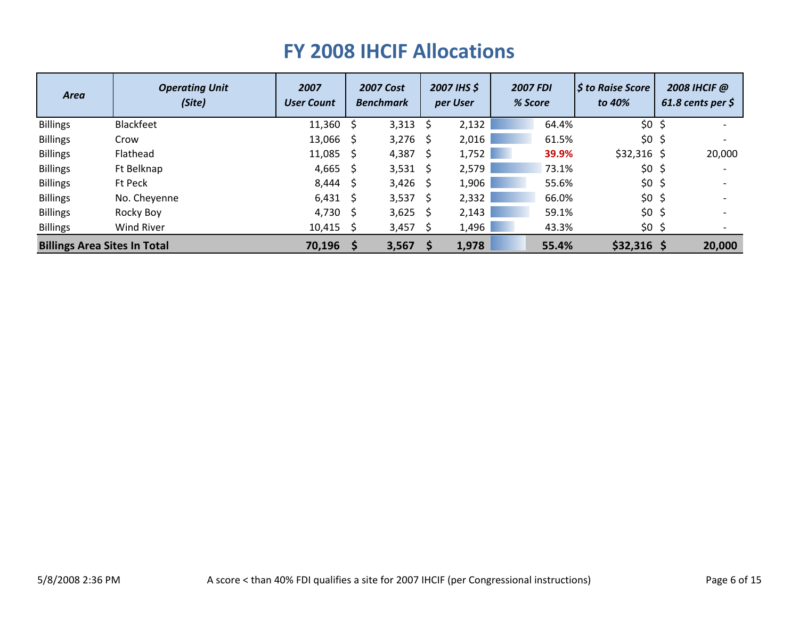| <b>Area</b>                         | <b>Operating Unit</b><br>(Site) | 2007<br><b>User Count</b> |      | <b>2007 Cost</b><br><b>Benchmark</b> |      | 2007 IHS \$<br>per User | <b>2007 FDI</b><br>% Score | <b>S</b> to Raise Score<br>to 40% | 2008 IHCIF @<br>61.8 cents per $\zeta$ |
|-------------------------------------|---------------------------------|---------------------------|------|--------------------------------------|------|-------------------------|----------------------------|-----------------------------------|----------------------------------------|
| <b>Billings</b>                     | <b>Blackfeet</b>                | 11,360                    | - \$ | $3,313$ \$                           |      | 2,132                   | 64.4%                      | \$0 <sub>5</sub>                  |                                        |
| <b>Billings</b>                     | Crow                            | 13,066                    | - S  | $3,276$ \$                           |      | 2,016                   | 61.5%                      | \$0 <sub>5</sub>                  |                                        |
| <b>Billings</b>                     | Flathead                        | 11,085                    | - S  | 4,387                                | - S  | 1,752                   | 39.9%                      | $$32,316$ \$                      | 20,000                                 |
| <b>Billings</b>                     | Ft Belknap                      | 4,665                     | - S  | 3,531                                | - \$ | 2,579                   | 73.1%                      | \$0 <sub>5</sub>                  |                                        |
| <b>Billings</b>                     | Ft Peck                         | 8,444                     | - S  | $3,426$ \$                           |      | 1,906                   | 55.6%                      | \$0 <sub>5</sub>                  |                                        |
| <b>Billings</b>                     | No. Cheyenne                    | $6,431$ \$                |      | 3,537                                | - \$ | 2,332                   | 66.0%                      | \$0 <sub>5</sub>                  |                                        |
| <b>Billings</b>                     | Rocky Boy                       | 4,730                     | - S  | 3,625                                | -\$  | 2,143                   | 59.1%                      | \$0 <sub>5</sub>                  |                                        |
| <b>Billings</b>                     | Wind River                      | $10,415$ \$               |      | 3,457                                | - S  | 1,496                   | 43.3%                      | $$0$ \$                           |                                        |
| <b>Billings Area Sites In Total</b> |                                 | 70,196                    | -S   | 3,567                                |      | 1,978                   | 55.4%                      | $$32,316$ \$                      | 20,000                                 |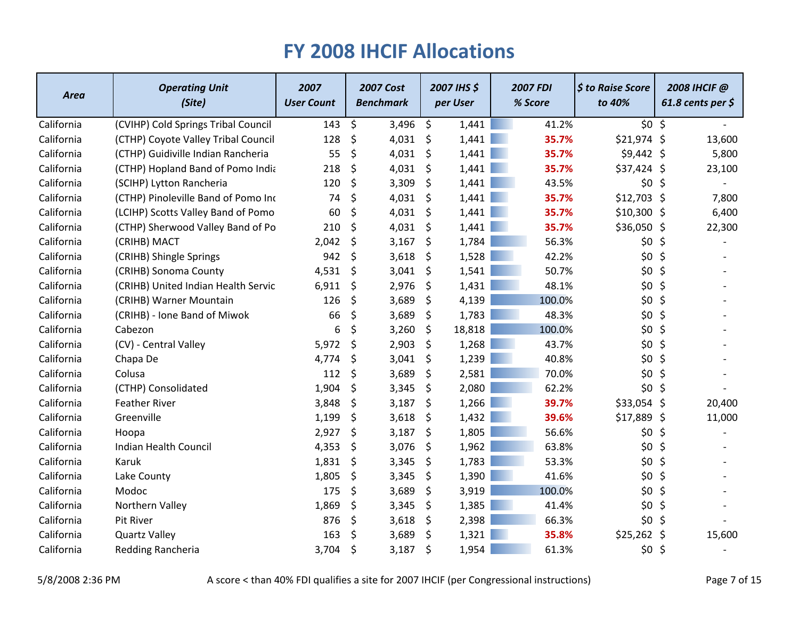| <b>Area</b> | <b>Operating Unit</b><br>(Site)     | 2007<br><b>User Count</b> | <b>2007 Cost</b><br><b>Benchmark</b> | 2007 IHS \$<br>per User | <b>2007 FDI</b><br>% Score | \$ to Raise Score<br>to 40% |         | 2008 IHCIF @<br>61.8 cents per $\zeta$ |
|-------------|-------------------------------------|---------------------------|--------------------------------------|-------------------------|----------------------------|-----------------------------|---------|----------------------------------------|
| California  | (CVIHP) Cold Springs Tribal Council | 143                       | \$<br>3,496                          | \$<br>1,441             | 41.2%                      | \$0 <sub>5</sub>            |         |                                        |
| California  | (CTHP) Coyote Valley Tribal Council | 128                       | \$<br>4,031                          | \$<br>1,441             | 35.7%                      | $$21,974$ \$                |         | 13,600                                 |
| California  | (CTHP) Guidiville Indian Rancheria  | 55                        | \$<br>4,031                          | \$<br>1,441             | 35.7%                      | $$9,442$ \$                 |         | 5,800                                  |
| California  | (CTHP) Hopland Band of Pomo India   | 218                       | \$<br>4,031                          | \$<br>1,441             | 35.7%                      | \$37,424 \$                 |         | 23,100                                 |
| California  | (SCIHP) Lytton Rancheria            | 120                       | \$<br>3,309                          | \$<br>1,441             | 43.5%                      | \$0 <sub>5</sub>            |         |                                        |
| California  | (CTHP) Pinoleville Band of Pomo Inc | 74                        | \$<br>4,031                          | \$<br>1,441             | 35.7%                      | $$12,703$ \$                |         | 7,800                                  |
| California  | (LCIHP) Scotts Valley Band of Pomo  | 60                        | \$<br>4,031                          | \$<br>1,441             | 35.7%                      | $$10,300$$ \$               |         | 6,400                                  |
| California  | (CTHP) Sherwood Valley Band of Po   | 210                       | \$<br>4,031                          | \$<br>1,441             | 35.7%                      | \$36,050 \$                 |         | 22,300                                 |
| California  | (CRIHB) MACT                        | 2,042                     | \$<br>3,167                          | \$<br>1,784             | 56.3%                      | \$0                         | S.      |                                        |
| California  | (CRIHB) Shingle Springs             | 942                       | \$<br>3,618                          | \$<br>1,528             | 42.2%                      | \$0\$                       | $\zeta$ |                                        |
| California  | (CRIHB) Sonoma County               | 4,531                     | \$<br>3,041                          | \$<br>1,541             | 50.7%                      | \$0\$                       | \$      |                                        |
| California  | (CRIHB) United Indian Health Servic | 6,911                     | \$<br>2,976                          | \$<br>1,431             | 48.1%                      | $$0$ \$                     |         |                                        |
| California  | (CRIHB) Warner Mountain             | 126                       | \$<br>3,689                          | \$<br>4,139             | 100.0%                     | \$0                         | \$      |                                        |
| California  | (CRIHB) - Ione Band of Miwok        | 66                        | \$<br>3,689                          | \$<br>1,783             | 48.3%                      | \$0\$                       | \$      |                                        |
| California  | Cabezon                             | 6                         | \$<br>3,260                          | \$<br>18,818            | 100.0%                     | \$0\$                       | $\zeta$ |                                        |
| California  | (CV) - Central Valley               | 5,972                     | \$<br>2,903                          | \$<br>1,268             | 43.7%                      | \$0 <sub>5</sub>            |         |                                        |
| California  | Chapa De                            | 4,774                     | \$<br>3,041                          | \$<br>1,239             | 40.8%                      | \$0\$                       | \$      |                                        |
| California  | Colusa                              | 112                       | \$<br>3,689                          | \$<br>2,581             | 70.0%                      | \$0                         | \$      |                                        |
| California  | (CTHP) Consolidated                 | 1,904                     | \$<br>3,345                          | \$<br>2,080             | 62.2%                      | \$0 <sub>5</sub>            |         |                                        |
| California  | <b>Feather River</b>                | 3,848                     | \$<br>3,187                          | \$<br>1,266             | 39.7%                      | \$33,054 \$                 |         | 20,400                                 |
| California  | Greenville                          | 1,199                     | \$<br>3,618                          | \$<br>1,432             | 39.6%                      | $$17,889$ \$                |         | 11,000                                 |
| California  | Hoopa                               | 2,927                     | \$<br>3,187                          | \$<br>1,805             | 56.6%                      | \$0\$                       | \$      |                                        |
| California  | Indian Health Council               | 4,353                     | \$<br>3,076                          | \$<br>1,962             | 63.8%                      | $$0$ \$                     |         |                                        |
| California  | Karuk                               | 1,831                     | \$<br>3,345                          | \$<br>1,783             | 53.3%                      | \$0\$                       | \$      |                                        |
| California  | Lake County                         | 1,805                     | \$<br>3,345                          | \$<br>1,390             | 41.6%                      | \$0                         | \$      |                                        |
| California  | Modoc                               | 175                       | \$<br>3,689                          | \$<br>3,919             | 100.0%                     | \$0\$                       | $\zeta$ |                                        |
| California  | Northern Valley                     | 1,869                     | \$<br>3,345                          | \$<br>1,385             | 41.4%                      | \$0\$                       | \$      |                                        |
| California  | Pit River                           | 876                       | \$<br>3,618                          | \$<br>2,398             | 66.3%                      | \$0\$                       | -\$     |                                        |
| California  | <b>Quartz Valley</b>                | 163                       | \$<br>3,689                          | \$<br>1,321             | 35.8%                      | \$25,262                    | \$      | 15,600                                 |
| California  | Redding Rancheria                   | 3,704                     | \$<br>3,187                          | \$<br>1,954             | 61.3%                      | \$0 <sub>5</sub>            |         |                                        |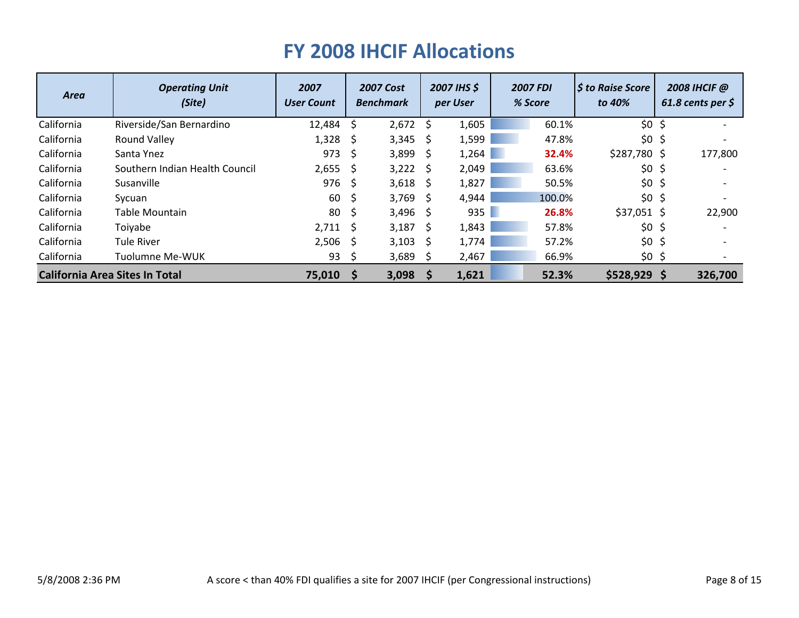| <b>Area</b>                           | <b>Operating Unit</b><br>(Site) | 2007<br><b>User Count</b> |      | <b>2007 Cost</b><br><b>Benchmark</b> |              | 2007 IHS \$<br>per User | <b>2007 FDI</b><br>% Score | <b>S</b> to Raise Score<br>to 40% |                     | 2008 IHCIF @<br>61.8 cents per $\zeta$ |
|---------------------------------------|---------------------------------|---------------------------|------|--------------------------------------|--------------|-------------------------|----------------------------|-----------------------------------|---------------------|----------------------------------------|
| California                            | Riverside/San Bernardino        | 12,484                    | -S   | 2,672                                | -Ś           | 1,605                   | 60.1%                      | \$0 <sub>5</sub>                  |                     |                                        |
| California                            | Round Valley                    | 1,328                     | - \$ | 3,345                                | <sub>S</sub> | 1,599                   | 47.8%                      | $$0$ \$                           |                     |                                        |
| California                            | Santa Ynez                      | 973                       | -S   | 3,899                                | <sub>S</sub> | 1,264                   | 32.4%                      | \$287,780\$                       |                     | 177,800                                |
| California                            | Southern Indian Health Council  | 2,655                     | - \$ | 3,222                                | -S           | 2,049                   | 63.6%                      | \$0\$                             | $\ddot{\mathsf{S}}$ |                                        |
| California                            | Susanville                      | 976                       | - \$ | 3,618                                | - S          | 1,827                   | 50.5%                      | \$0 <sub>5</sub>                  |                     |                                        |
| California                            | Sycuan                          | 60                        | -\$  | 3,769                                | -S           | 4,944                   | 100.0%                     | \$0 <sub>5</sub>                  |                     |                                        |
| California                            | Table Mountain                  | 80                        | -\$  | 3,496                                | - S          | 935                     | 26.8%                      | $$37,051$ \$                      |                     | 22,900                                 |
| California                            | Toiyabe                         | $2,711 \quad$ \$          |      | 3,187                                | Ŝ.           | 1,843                   | 57.8%                      | \$0 <sub>5</sub>                  |                     |                                        |
| California                            | <b>Tule River</b>               | 2,506                     | -S   | 3,103                                | S            | 1,774                   | 57.2%                      | \$0 <sub>5</sub>                  |                     |                                        |
| California                            | Tuolumne Me-WUK                 | 93                        | -S   | 3,689                                | <sub>S</sub> | 2,467                   | 66.9%                      | \$0                               | -Ş                  |                                        |
| <b>California Area Sites In Total</b> |                                 | 75,010                    | -S   | 3,098                                | <sub>S</sub> | 1,621                   | 52.3%                      | $$528,929$ \$                     |                     | 326,700                                |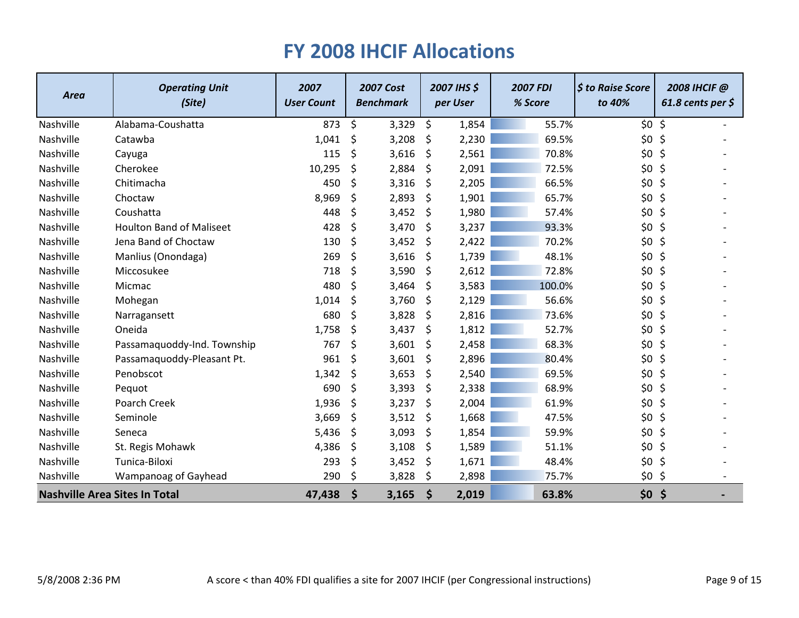| <b>Area</b>                          | <b>Operating Unit</b><br>(Site) | 2007<br><b>User Count</b> |         | <b>2007 Cost</b><br><b>Benchmark</b> | 2007 IHS \$<br>per User | <b>2007 FDI</b><br>% Score | \$ to Raise Score<br>to 40% | 2008 IHCIF @<br>61.8 cents per $\zeta$ |  |
|--------------------------------------|---------------------------------|---------------------------|---------|--------------------------------------|-------------------------|----------------------------|-----------------------------|----------------------------------------|--|
| Nashville                            | Alabama-Coushatta               | 873                       | \$      | 3,329                                | \$<br>1,854             | 55.7%                      | \$0 <sub>5</sub>            |                                        |  |
| Nashville                            | Catawba                         | 1,041                     | \$      | 3,208                                | \$<br>2,230             | 69.5%                      | \$0\$                       | \$                                     |  |
| Nashville                            | Cayuga                          | 115                       | \$      | 3,616                                | \$<br>2,561             | 70.8%                      | \$0\$                       | \$                                     |  |
| Nashville                            | Cherokee                        | 10,295                    | \$      | 2,884                                | \$<br>2,091             | 72.5%                      | \$0\$                       | \$                                     |  |
| Nashville                            | Chitimacha                      | 450                       | \$      | 3,316                                | \$<br>2,205             | 66.5%                      | \$0\$                       | \$                                     |  |
| Nashville                            | Choctaw                         | 8,969                     | \$      | 2,893                                | \$<br>1,901             | 65.7%                      | \$0\$                       | \$                                     |  |
| Nashville                            | Coushatta                       | 448                       | \$      | 3,452                                | \$<br>1,980             | 57.4%                      | \$0\$                       | \$                                     |  |
| Nashville                            | <b>Houlton Band of Maliseet</b> | 428                       | \$      | 3,470                                | \$<br>3,237             | 93.3%                      | \$0\$                       | $\zeta$                                |  |
| Nashville                            | Jena Band of Choctaw            | 130                       | \$      | 3,452                                | \$<br>2,422             | 70.2%                      | \$0\$                       | \$                                     |  |
| Nashville                            | Manlius (Onondaga)              | 269                       | $\zeta$ | 3,616                                | \$<br>1,739             | 48.1%                      | $$0$ \$                     |                                        |  |
| Nashville                            | Miccosukee                      | 718                       | \$      | 3,590                                | \$<br>2,612             | 72.8%                      | \$0\$                       | \$                                     |  |
| Nashville                            | Micmac                          | 480                       | \$      | 3,464                                | \$<br>3,583             | 100.0%                     | \$0\$                       | \$                                     |  |
| Nashville                            | Mohegan                         | 1,014                     | \$      | 3,760                                | \$<br>2,129             | 56.6%                      | \$0\$                       | \$                                     |  |
| Nashville                            | Narragansett                    | 680                       | \$      | 3,828                                | \$<br>2,816             | 73.6%                      | \$0\$                       | \$                                     |  |
| Nashville                            | Oneida                          | 1,758                     | \$      | 3,437                                | \$<br>1,812             | 52.7%                      | \$0\$                       | \$                                     |  |
| Nashville                            | Passamaquoddy-Ind. Township     | 767                       | \$      | 3,601                                | \$<br>2,458             | 68.3%                      | \$0\$                       | \$                                     |  |
| Nashville                            | Passamaquoddy-Pleasant Pt.      | 961                       | \$      | 3,601                                | \$<br>2,896             | 80.4%                      | \$0\$                       | \$                                     |  |
| Nashville                            | Penobscot                       | 1,342                     | \$      | 3,653                                | \$<br>2,540             | 69.5%                      | \$0\$                       | \$                                     |  |
| Nashville                            | Pequot                          | 690                       | \$      | 3,393                                | \$<br>2,338             | 68.9%                      | \$0\$                       | \$                                     |  |
| Nashville                            | Poarch Creek                    | 1,936                     | \$      | 3,237                                | \$<br>2,004             | 61.9%                      | \$0\$                       | \$                                     |  |
| Nashville                            | Seminole                        | 3,669                     | \$      | 3,512                                | \$<br>1,668             | 47.5%                      | $$0$ \$                     |                                        |  |
| Nashville                            | Seneca                          | 5,436                     | \$      | 3,093                                | \$<br>1,854             | 59.9%                      | \$0                         | \$                                     |  |
| Nashville                            | St. Regis Mohawk                | 4,386                     | \$      | 3,108                                | \$<br>1,589             | 51.1%                      | \$0 <sub>5</sub>            |                                        |  |
| Nashville                            | Tunica-Biloxi                   | 293                       | \$      | 3,452                                | \$<br>1,671             | 48.4%                      | \$0\$                       | \$                                     |  |
| Nashville                            | Wampanoag of Gayhead            | 290                       | \$      | 3,828                                | \$<br>2,898             | 75.7%                      | $$0$ \$                     |                                        |  |
| <b>Nashville Area Sites In Total</b> |                                 | 47,438                    | \$      | 3,165                                | \$<br>2,019             | 63.8%                      | \$0                         | \$                                     |  |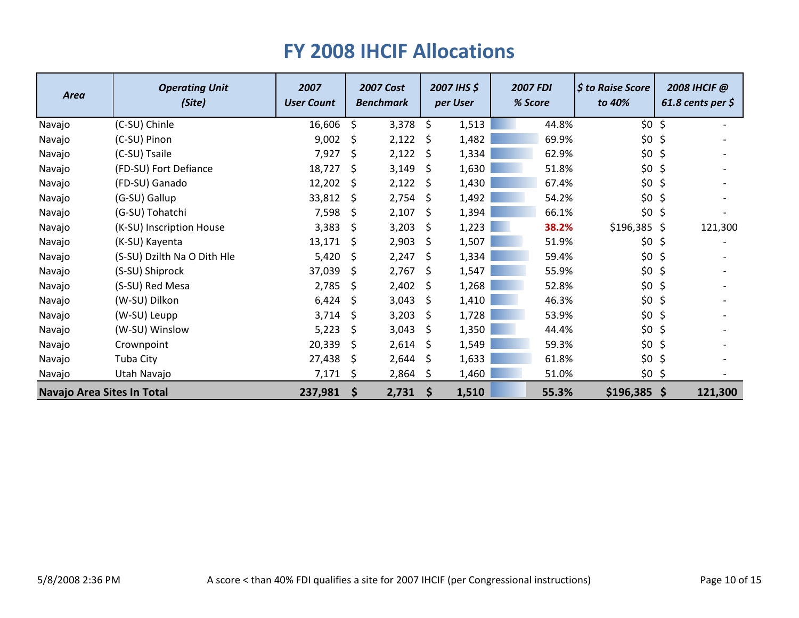| <b>Area</b>                | <b>Operating Unit</b><br>(Site) | 2007<br><b>User Count</b> |     | <b>2007 Cost</b><br><b>Benchmark</b> |    | 2007 IHS \$<br>per User | <b>2007 FDI</b><br>% Score | $\frac{1}{2}$ to Raise Score<br>to 40% |     | 2008 IHCIF @<br>61.8 cents per $\zeta$ |
|----------------------------|---------------------------------|---------------------------|-----|--------------------------------------|----|-------------------------|----------------------------|----------------------------------------|-----|----------------------------------------|
| Navajo                     | (C-SU) Chinle                   | 16,606                    | \$  | 3,378                                | \$ | 1,513                   | 44.8%                      | $$0$ \$                                |     |                                        |
| Navajo                     | (C-SU) Pinon                    | 9,002                     | \$. | 2,122                                | \$ | 1,482                   | 69.9%                      | \$0                                    | -\$ |                                        |
| Navajo                     | (C-SU) Tsaile                   | 7,927                     | \$  | 2,122                                | Ŝ. | 1,334                   | 62.9%                      | $$0$ \$                                |     |                                        |
| Navajo                     | (FD-SU) Fort Defiance           | 18,727                    | \$. | 3,149                                | \$ | 1,630                   | 51.8%                      | $$0$ \$                                |     |                                        |
| Navajo                     | (FD-SU) Ganado                  | 12,202                    | S.  | 2,122                                | \$ | 1,430                   | 67.4%                      | $$0$ \$                                |     |                                        |
| Navajo                     | (G-SU) Gallup                   | 33,812                    | \$  | 2,754                                | \$ | 1,492                   | 54.2%                      | $$0$ \$                                |     |                                        |
| Navajo                     | (G-SU) Tohatchi                 | 7,598                     | -\$ | 2,107                                | \$ | 1,394                   | 66.1%                      | $$0$ \$                                |     |                                        |
| Navajo                     | (K-SU) Inscription House        | 3,383                     | \$. | 3,203                                | S  | 1,223                   | 38.2%                      | $$196,385$ \$                          |     | 121,300                                |
| Navajo                     | (K-SU) Kayenta                  | 13,171                    | \$  | 2,903                                | \$ | 1,507                   | 51.9%                      | \$0\$                                  | \$  |                                        |
| Navajo                     | (S-SU) Dzilth Na O Dith Hle     | 5,420                     | -\$ | 2,247                                | \$ | 1,334                   | 59.4%                      | $$0$ \$                                |     |                                        |
| Navajo                     | (S-SU) Shiprock                 | 37,039                    | S.  | 2,767                                | S  | 1,547                   | 55.9%                      | $$0$ \$                                |     |                                        |
| Navajo                     | (S-SU) Red Mesa                 | 2,785                     | \$  | 2,402                                | \$ | 1,268                   | 52.8%                      | $$0$ \$                                |     |                                        |
| Navajo                     | (W-SU) Dilkon                   | 6,424                     | -\$ | 3,043                                | \$ | 1,410                   | 46.3%                      | $$0$ \$                                |     |                                        |
| Navajo                     | (W-SU) Leupp                    | 3,714                     | S.  | 3,203                                | S  | 1,728                   | 53.9%                      | $$0$ \$                                |     |                                        |
| Navajo                     | (W-SU) Winslow                  | 5,223                     | \$  | 3,043                                | \$ | 1,350                   | 44.4%                      | $$0$ \$                                |     |                                        |
| Navajo                     | Crownpoint                      | 20,339                    | S.  | 2,614                                | \$ | 1,549                   | 59.3%                      | $$0$ \$                                |     |                                        |
| Navajo                     | Tuba City                       | 27,438                    | -\$ | 2,644                                | \$ | 1,633                   | 61.8%                      | $$0$ \$                                |     |                                        |
| Navajo                     | Utah Navajo                     | 7,171                     | \$  | 2,864                                | \$ | 1,460                   | 51.0%                      | $$0$ \$                                |     |                                        |
| Navajo Area Sites In Total |                                 | 237,981                   | \$  | 2,731                                | \$ | 1,510                   | 55.3%                      | $$196,385$ \$                          |     | 121,300                                |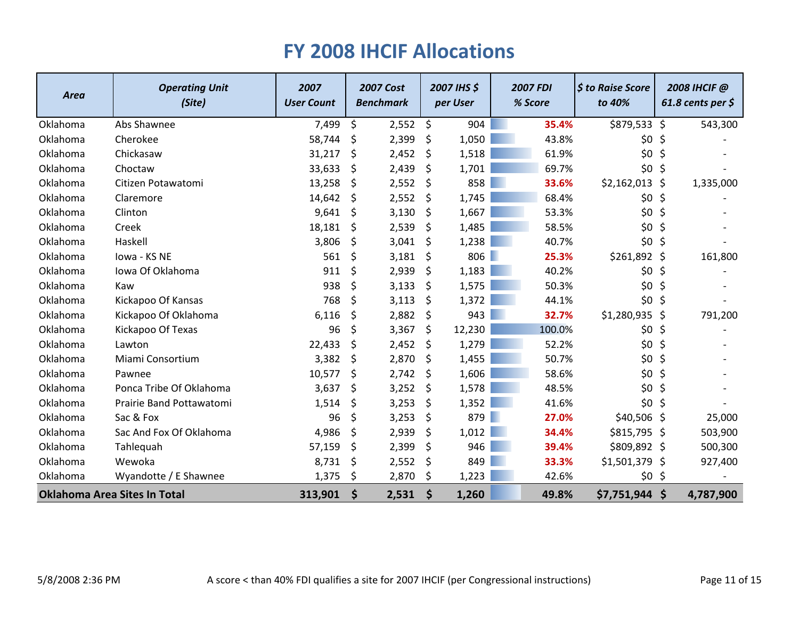| <b>Area</b> | <b>Operating Unit</b><br>(Site)     | 2007<br><b>User Count</b> |         | <b>2007 Cost</b><br><b>Benchmark</b> |    | 2007 IHS \$<br>per User |   | <b>2007 FDI</b><br>% Score | \$ to Raise Score<br>to 40% | 2008 IHCIF @<br>$61.8$ cents per \$ |           |
|-------------|-------------------------------------|---------------------------|---------|--------------------------------------|----|-------------------------|---|----------------------------|-----------------------------|-------------------------------------|-----------|
| Oklahoma    | Abs Shawnee                         | 7,499                     | $\zeta$ | 2,552                                | \$ | 904                     |   | 35.4%                      | \$879,533 \$                |                                     | 543,300   |
| Oklahoma    | Cherokee                            | 58,744                    | \$      | 2,399                                | \$ | 1,050                   |   | 43.8%                      | \$0                         | Ş                                   |           |
| Oklahoma    | Chickasaw                           | 31,217                    | \$      | 2,452                                | \$ | 1,518                   |   | 61.9%                      | \$0\$                       | \$                                  |           |
| Oklahoma    | Choctaw                             | 33,633                    | \$      | 2,439                                | \$ | 1,701                   |   | 69.7%                      | \$0\$                       | \$                                  |           |
| Oklahoma    | Citizen Potawatomi                  | 13,258                    | \$      | 2,552                                | \$ | 858                     |   | 33.6%                      | \$2,162,013 \$              |                                     | 1,335,000 |
| Oklahoma    | Claremore                           | 14,642                    | \$      | 2,552                                | \$ | 1,745                   |   | 68.4%                      | \$0\$                       | \$                                  |           |
| Oklahoma    | Clinton                             | 9,641                     | \$      | 3,130                                | \$ | 1,667                   |   | 53.3%                      | \$0\$                       | \$                                  |           |
| Oklahoma    | Creek                               | 18,181                    | \$      | 2,539                                | \$ | 1,485                   |   | 58.5%                      | \$0\$                       | \$                                  |           |
| Oklahoma    | Haskell                             | 3,806                     | \$      | 3,041                                | \$ | 1,238                   |   | 40.7%                      | \$0                         | \$                                  |           |
| Oklahoma    | Iowa - KS NE                        | 561                       | $\zeta$ | 3,181                                | \$ | 806                     |   | 25.3%                      | $$261,892$ \$               |                                     | 161,800   |
| Oklahoma    | Iowa Of Oklahoma                    | 911                       | \$      | 2,939                                | \$ | 1,183                   |   | 40.2%                      | \$0                         | \$                                  |           |
| Oklahoma    | Kaw                                 | 938                       | \$      | 3,133                                | \$ | 1,575                   |   | 50.3%                      | \$0                         | \$                                  |           |
| Oklahoma    | Kickapoo Of Kansas                  | 768                       | \$      | 3,113                                | \$ | 1,372                   |   | 44.1%                      | \$0\$                       | \$                                  |           |
| Oklahoma    | Kickapoo Of Oklahoma                | 6,116                     | \$      | 2,882                                | \$ | 943                     |   | 32.7%                      | $$1,280,935$ \$             |                                     | 791,200   |
| Oklahoma    | Kickapoo Of Texas                   | 96                        | \$      | 3,367                                | \$ | 12,230                  |   | 100.0%                     | \$0                         | \$                                  |           |
| Oklahoma    | Lawton                              | 22,433                    | \$      | 2,452                                | \$ | 1,279                   |   | 52.2%                      | \$0                         | \$                                  |           |
| Oklahoma    | Miami Consortium                    | 3,382                     | \$      | 2,870                                | \$ | 1,455                   |   | 50.7%                      | \$0\$                       | \$                                  |           |
| Oklahoma    | Pawnee                              | 10,577                    | \$      | 2,742                                | \$ | 1,606                   |   | 58.6%                      | \$0\$                       | \$                                  |           |
| Oklahoma    | Ponca Tribe Of Oklahoma             | 3,637                     | \$      | 3,252                                | \$ | 1,578                   |   | 48.5%                      | \$0                         | \$                                  |           |
| Oklahoma    | Prairie Band Pottawatomi            | 1,514                     | \$      | 3,253                                | \$ | 1,352                   |   | 41.6%                      | \$0                         | \$                                  |           |
| Oklahoma    | Sac & Fox                           | 96                        | $\zeta$ | 3,253                                | \$ | 879                     | ٠ | 27.0%                      | $$40,506$ \$                |                                     | 25,000    |
| Oklahoma    | Sac And Fox Of Oklahoma             | 4,986                     | $\zeta$ | 2,939                                | \$ | 1,012                   |   | 34.4%                      | $$815,795$ \$               |                                     | 503,900   |
| Oklahoma    | Tahlequah                           | 57,159                    | \$      | 2,399                                | \$ | 946                     |   | 39.4%                      | \$809,892 \$                |                                     | 500,300   |
| Oklahoma    | Wewoka                              | 8,731                     | \$      | 2,552                                | \$ | 849                     |   | 33.3%                      | $$1,501,379$ \$             |                                     | 927,400   |
| Oklahoma    | Wyandotte / E Shawnee               | 1,375                     | \$      | 2,870                                | \$ | 1,223                   |   | 42.6%                      | $$0$ \$                     |                                     |           |
|             | <b>Oklahoma Area Sites In Total</b> | 313,901                   | \$      | 2,531                                | \$ | 1,260                   |   | 49.8%                      | \$7,751,944 \$              |                                     | 4,787,900 |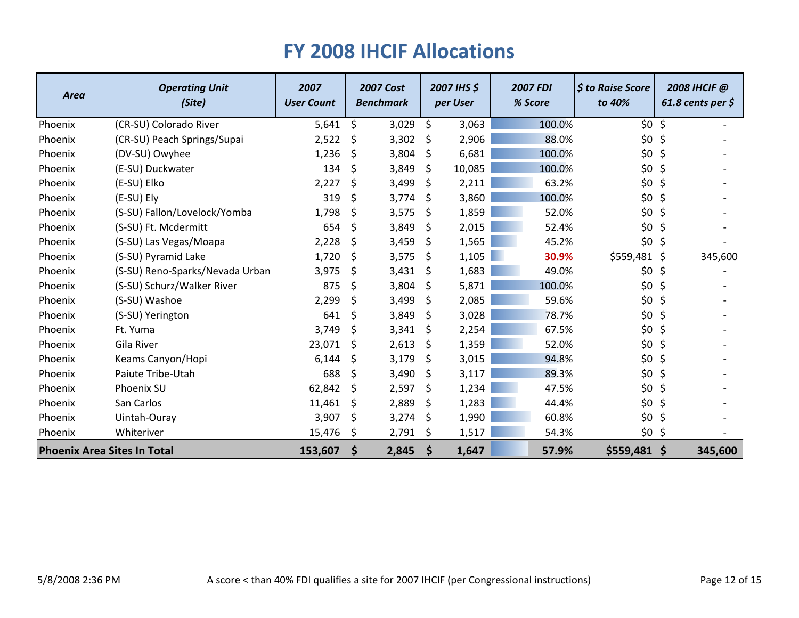| <b>Area</b>                        | <b>Operating Unit</b><br>(Site) | 2007<br><b>User Count</b> |         | <b>2007 Cost</b><br><b>Benchmark</b> |                    | 2007 IHS \$<br>per User | <b>2007 FDI</b><br>% Score | \$ to Raise Score<br>to 40% |         | 2008 IHCIF @<br>61.8 cents per $$$ |
|------------------------------------|---------------------------------|---------------------------|---------|--------------------------------------|--------------------|-------------------------|----------------------------|-----------------------------|---------|------------------------------------|
| Phoenix                            | (CR-SU) Colorado River          | 5,641                     | \$      | 3,029                                | \$                 | 3,063                   | 100.0%                     | \$0                         | $\zeta$ |                                    |
| Phoenix                            | (CR-SU) Peach Springs/Supai     | 2,522                     | \$      | 3,302                                | \$                 | 2,906                   | 88.0%                      | \$0\$                       | \$      |                                    |
| Phoenix                            | (DV-SU) Owyhee                  | 1,236                     | \$      | 3,804                                | \$                 | 6,681                   | 100.0%                     | \$0                         | \$      |                                    |
| Phoenix                            | (E-SU) Duckwater                | 134                       | \$      | 3,849                                | \$                 | 10,085                  | 100.0%                     | \$0\$                       | \$      |                                    |
| Phoenix                            | (E-SU) Elko                     | 2,227                     | \$      | 3,499                                | \$                 | 2,211                   | 63.2%                      | \$0                         | \$      |                                    |
| Phoenix                            | (E-SU) Ely                      | 319                       | \$      | 3,774                                | \$                 | 3,860                   | 100.0%                     | \$0                         | \$      |                                    |
| Phoenix                            | (S-SU) Fallon/Lovelock/Yomba    | 1,798                     | S.      | 3,575                                | \$                 | 1,859                   | 52.0%                      | \$0                         | \$      |                                    |
| Phoenix                            | (S-SU) Ft. Mcdermitt            | 654                       | \$      | 3,849                                | \$                 | 2,015                   | 52.4%                      | \$0                         | $\zeta$ |                                    |
| Phoenix                            | (S-SU) Las Vegas/Moapa          | 2,228                     | \$      | 3,459                                | \$                 | 1,565                   | 45.2%                      | \$0\$                       | \$      |                                    |
| Phoenix                            | (S-SU) Pyramid Lake             | 1,720                     | \$      | 3,575                                | \$                 | 1,105                   | 30.9%                      | \$559,481                   | \$      | 345,600                            |
| Phoenix                            | (S-SU) Reno-Sparks/Nevada Urban | 3,975                     | $\zeta$ | 3,431                                | \$                 | 1,683                   | 49.0%                      | \$0                         | \$      |                                    |
| Phoenix                            | (S-SU) Schurz/Walker River      | 875                       | \$      | 3,804                                | Ŝ.                 | 5,871                   | 100.0%                     | \$0                         | \$      |                                    |
| Phoenix                            | (S-SU) Washoe                   | 2,299                     | \$      | 3,499                                | \$                 | 2,085                   | 59.6%                      | \$0                         | \$      |                                    |
| Phoenix                            | (S-SU) Yerington                | 641                       | \$      | 3,849                                | \$                 | 3,028                   | 78.7%                      | \$0                         | \$      |                                    |
| Phoenix                            | Ft. Yuma                        | 3,749                     | \$      | 3,341                                | \$                 | 2,254                   | 67.5%                      | \$0                         | \$      |                                    |
| Phoenix                            | Gila River                      | 23,071                    | \$      | 2,613                                | \$                 | 1,359                   | 52.0%                      | \$0                         | \$      |                                    |
| Phoenix                            | Keams Canyon/Hopi               | 6,144                     | \$      | 3,179                                | \$                 | 3,015                   | 94.8%                      | \$0\$                       | \$      |                                    |
| Phoenix                            | Paiute Tribe-Utah               | 688                       | \$      | 3,490                                | \$                 | 3,117                   | 89.3%                      | \$0                         | \$      |                                    |
| Phoenix                            | Phoenix SU                      | 62,842                    | -S      | 2,597                                | \$                 | 1,234                   | 47.5%                      | \$0                         | \$      |                                    |
| Phoenix                            | San Carlos                      | 11,461                    | \$      | 2,889                                | \$                 | 1,283                   | 44.4%                      | \$0                         | \$      |                                    |
| Phoenix                            | Uintah-Ouray                    | 3,907                     | \$      | 3,274                                | \$.                | 1,990                   | 60.8%                      | \$0\$                       | \$      |                                    |
| Phoenix                            | Whiteriver                      | 15,476                    | \$      | 2,791                                | \$                 | 1,517                   | 54.3%                      | \$0                         | \$      |                                    |
| <b>Phoenix Area Sites In Total</b> |                                 | 153,607                   | \$      | 2,845                                | $\dot{\mathsf{s}}$ | 1,647                   | 57.9%                      | $$559,481$ \$               |         | 345,600                            |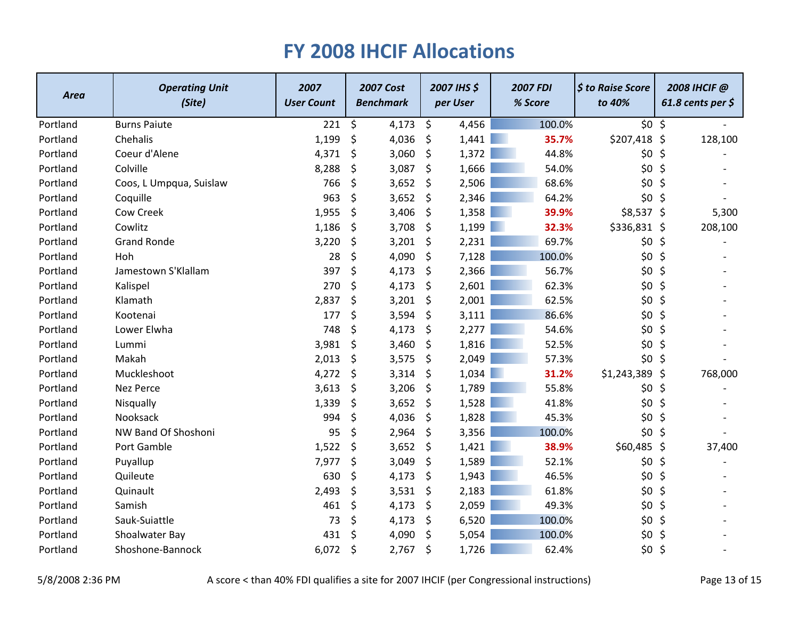| <b>Area</b> | <b>Operating Unit</b><br>(Site) | 2007<br><b>User Count</b> | <b>2007 Cost</b><br><b>Benchmark</b> |       | 2007 IHS \$<br>per User |       | <b>2007 FDI</b><br>% Score |        | $\frac{1}{2}$ to Raise Score<br>to 40% |         | 2008 IHCIF @<br>61.8 cents per $\zeta$ |  |
|-------------|---------------------------------|---------------------------|--------------------------------------|-------|-------------------------|-------|----------------------------|--------|----------------------------------------|---------|----------------------------------------|--|
| Portland    | <b>Burns Paiute</b>             | 221                       | \$                                   | 4,173 | \$                      | 4,456 |                            | 100.0% | $$0$ \$                                |         |                                        |  |
| Portland    | Chehalis                        | 1,199                     | \$                                   | 4,036 | \$                      | 1,441 |                            | 35.7%  | $$207,418$ \$                          |         | 128,100                                |  |
| Portland    | Coeur d'Alene                   | 4,371                     | \$                                   | 3,060 | \$                      | 1,372 |                            | 44.8%  | \$0\$                                  | \$      |                                        |  |
| Portland    | Colville                        | 8,288                     | \$                                   | 3,087 | \$                      | 1,666 |                            | 54.0%  | \$0                                    | \$      |                                        |  |
| Portland    | Coos, L Umpqua, Suislaw         | 766                       | \$                                   | 3,652 | \$                      | 2,506 |                            | 68.6%  | \$0\$                                  | \$      |                                        |  |
| Portland    | Coquille                        | 963                       | \$                                   | 3,652 | \$                      | 2,346 |                            | 64.2%  | \$0\$                                  | \$      |                                        |  |
| Portland    | Cow Creek                       | 1,955                     | \$                                   | 3,406 | \$                      | 1,358 |                            | 39.9%  | $$8,537$ \$                            |         | 5,300                                  |  |
| Portland    | Cowlitz                         | 1,186                     | \$                                   | 3,708 | \$                      | 1,199 |                            | 32.3%  | \$336,831 \$                           |         | 208,100                                |  |
| Portland    | <b>Grand Ronde</b>              | 3,220                     | \$                                   | 3,201 | \$                      | 2,231 |                            | 69.7%  | \$0\$                                  | $\zeta$ |                                        |  |
| Portland    | Hoh                             | 28                        | \$                                   | 4,090 | \$                      | 7,128 |                            | 100.0% | \$0                                    | \$      |                                        |  |
| Portland    | Jamestown S'Klallam             | 397                       | \$                                   | 4,173 | \$                      | 2,366 |                            | 56.7%  | \$0                                    | \$      |                                        |  |
| Portland    | Kalispel                        | 270                       | \$                                   | 4,173 | \$                      | 2,601 |                            | 62.3%  | \$0                                    | \$      |                                        |  |
| Portland    | Klamath                         | 2,837                     | \$                                   | 3,201 | \$                      | 2,001 |                            | 62.5%  | \$0\$                                  | \$      |                                        |  |
| Portland    | Kootenai                        | 177                       | \$                                   | 3,594 | \$                      | 3,111 |                            | 86.6%  | \$0                                    | \$      |                                        |  |
| Portland    | Lower Elwha                     | 748                       | \$                                   | 4,173 | \$                      | 2,277 |                            | 54.6%  | \$0\$                                  | \$      |                                        |  |
| Portland    | Lummi                           | 3,981                     | \$                                   | 3,460 | \$                      | 1,816 |                            | 52.5%  | \$0                                    | \$      |                                        |  |
| Portland    | Makah                           | 2,013                     | \$                                   | 3,575 | \$                      | 2,049 |                            | 57.3%  | \$0                                    | \$      |                                        |  |
| Portland    | Muckleshoot                     | 4,272                     | \$                                   | 3,314 | \$                      | 1,034 |                            | 31.2%  | \$1,243,389                            | \$      | 768,000                                |  |
| Portland    | <b>Nez Perce</b>                | 3,613                     | \$                                   | 3,206 | \$                      | 1,789 |                            | 55.8%  | \$0\$                                  | \$      |                                        |  |
| Portland    | Nisqually                       | 1,339                     | \$                                   | 3,652 | \$                      | 1,528 |                            | 41.8%  | \$0\$                                  | \$      |                                        |  |
| Portland    | Nooksack                        | 994                       | \$                                   | 4,036 | \$                      | 1,828 |                            | 45.3%  | \$0\$                                  | \$      |                                        |  |
| Portland    | NW Band Of Shoshoni             | 95                        | \$                                   | 2,964 | \$                      | 3,356 |                            | 100.0% | \$0\$                                  | \$      |                                        |  |
| Portland    | Port Gamble                     | 1,522                     | \$                                   | 3,652 | \$                      | 1,421 |                            | 38.9%  | \$60,485 \$                            |         | 37,400                                 |  |
| Portland    | Puyallup                        | 7,977                     | \$                                   | 3,049 | \$                      | 1,589 |                            | 52.1%  | \$0                                    | \$      |                                        |  |
| Portland    | Quileute                        | 630                       | \$                                   | 4,173 | \$                      | 1,943 |                            | 46.5%  | \$0                                    | \$      |                                        |  |
| Portland    | Quinault                        | 2,493                     | \$                                   | 3,531 | \$                      | 2,183 |                            | 61.8%  | \$0\$                                  | \$      |                                        |  |
| Portland    | Samish                          | 461                       | \$                                   | 4,173 | \$                      | 2,059 |                            | 49.3%  | \$0\$                                  | \$      |                                        |  |
| Portland    | Sauk-Suiattle                   | 73                        | \$                                   | 4,173 | \$                      | 6,520 |                            | 100.0% | \$0                                    | \$      |                                        |  |
| Portland    | Shoalwater Bay                  | 431                       | \$                                   | 4,090 | \$                      | 5,054 |                            | 100.0% | \$0                                    | \$      |                                        |  |
| Portland    | Shoshone-Bannock                | 6,072                     | \$                                   | 2,767 | \$                      | 1,726 |                            | 62.4%  | \$0\$                                  | \$      |                                        |  |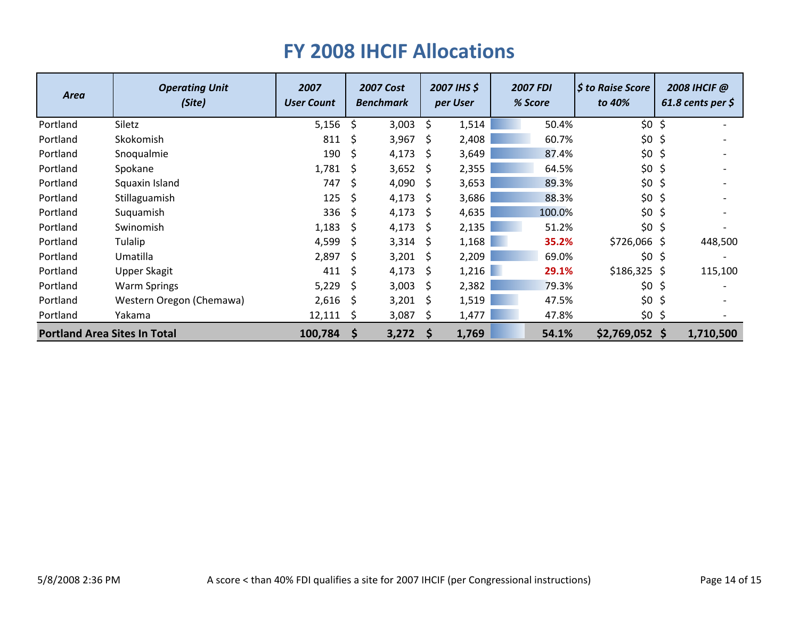| <b>Area</b>                         | <b>Operating Unit</b><br>(Site) | 2007<br><b>User Count</b> |              | <b>2007 Cost</b><br><b>Benchmark</b> |              | 2007 IHS \$<br>per User | <b>2007 FDI</b><br>% Score | <b>S</b> to Raise Score<br>to 40% |         | 2008 IHCIF @<br>61.8 cents per $\zeta$ |
|-------------------------------------|---------------------------------|---------------------------|--------------|--------------------------------------|--------------|-------------------------|----------------------------|-----------------------------------|---------|----------------------------------------|
| Portland                            | Siletz                          | 5,156                     | -S           | 3,003                                | \$           | 1,514                   | 50.4%                      | $$0$ \$                           |         |                                        |
| Portland                            | Skokomish                       | 811                       | \$.          | 3,967                                | S            | 2,408                   | 60.7%                      | \$0                               | \$      |                                        |
| Portland                            | Snoqualmie                      | 190                       | -S           | 4,173                                | <sup>S</sup> | 3,649                   | 87.4%                      | \$0                               | \$      |                                        |
| Portland                            | Spokane                         | 1,781                     | -S           | 3,652                                | <sup>S</sup> | 2,355                   | 64.5%                      | \$0                               | \$      |                                        |
| Portland                            | Squaxin Island                  | 747                       | <sup>S</sup> | 4,090                                | <sup>S</sup> | 3,653                   | 89.3%                      | \$0                               | \$      |                                        |
| Portland                            | Stillaguamish                   | 125                       | -S           | 4,173                                | <sup>S</sup> | 3,686                   | 88.3%                      | \$0                               | \$      |                                        |
| Portland                            | Suquamish                       | 336                       | -Ś           | 4,173                                | <sup>S</sup> | 4,635                   | 100.0%                     | \$0                               | \$      |                                        |
| Portland                            | Swinomish                       | 1,183                     | -S           | 4,173                                | <sup>S</sup> | 2,135                   | 51.2%                      | \$0                               | $\zeta$ |                                        |
| Portland                            | Tulalip                         | 4,599                     | -S           | 3,314                                | <sup>S</sup> | 1,168                   | 35.2%                      | $$726,066$ \$                     |         | 448,500                                |
| Portland                            | Umatilla                        | 2,897                     |              | 3,201                                | <sup>S</sup> | 2,209                   | 69.0%                      | \$0                               | \$      |                                        |
| Portland                            | Upper Skagit                    | 411                       |              | 4,173                                | <sup>S</sup> | 1,216                   | 29.1%                      | $$186,325$ \$                     |         | 115,100                                |
| Portland                            | <b>Warm Springs</b>             | 5,229                     | -S           | 3,003                                | <sup>S</sup> | 2,382                   | 79.3%                      | \$0                               | \$      |                                        |
| Portland                            | Western Oregon (Chemawa)        | 2,616                     | -S           | 3,201                                | S            | 1,519                   | 47.5%                      | \$0                               | \$      |                                        |
| Portland                            | Yakama                          | 12,111                    | <sub>S</sub> | 3,087                                | S            | 1,477                   | 47.8%                      | $$0$ \$                           |         |                                        |
| <b>Portland Area Sites In Total</b> |                                 | 100,784                   | -S           | 3,272                                | <b>S</b>     | 1,769                   | 54.1%                      | $$2,769,052$ \$                   |         | 1,710,500                              |